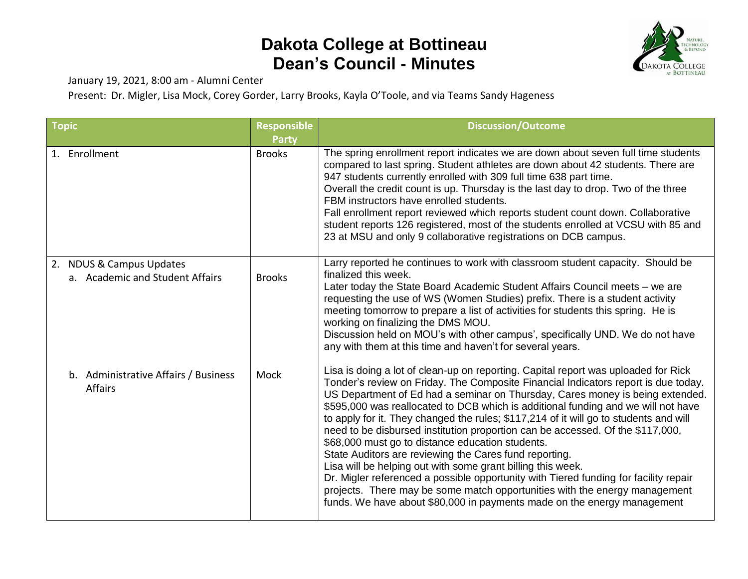## **Dakota College at Bottineau Dean's Council - Minutes**



January 19, 2021, 8:00 am - Alumni Center

Present: Dr. Migler, Lisa Mock, Corey Gorder, Larry Brooks, Kayla O'Toole, and via Teams Sandy Hageness

| <b>Topic</b>                                                | <b>Responsible</b> | <b>Discussion/Outcome</b>                                                                                                                                                                                                                                                                                                                                                                                                                                                                                                                                                                                                                                                                                                                                                                                                                                                                                                                               |
|-------------------------------------------------------------|--------------------|---------------------------------------------------------------------------------------------------------------------------------------------------------------------------------------------------------------------------------------------------------------------------------------------------------------------------------------------------------------------------------------------------------------------------------------------------------------------------------------------------------------------------------------------------------------------------------------------------------------------------------------------------------------------------------------------------------------------------------------------------------------------------------------------------------------------------------------------------------------------------------------------------------------------------------------------------------|
|                                                             | <b>Party</b>       |                                                                                                                                                                                                                                                                                                                                                                                                                                                                                                                                                                                                                                                                                                                                                                                                                                                                                                                                                         |
| 1. Enrollment                                               | <b>Brooks</b>      | The spring enrollment report indicates we are down about seven full time students<br>compared to last spring. Student athletes are down about 42 students. There are<br>947 students currently enrolled with 309 full time 638 part time.<br>Overall the credit count is up. Thursday is the last day to drop. Two of the three<br>FBM instructors have enrolled students.<br>Fall enrollment report reviewed which reports student count down. Collaborative<br>student reports 126 registered, most of the students enrolled at VCSU with 85 and<br>23 at MSU and only 9 collaborative registrations on DCB campus.                                                                                                                                                                                                                                                                                                                                   |
| 2. NDUS & Campus Updates<br>a. Academic and Student Affairs | <b>Brooks</b>      | Larry reported he continues to work with classroom student capacity. Should be<br>finalized this week.<br>Later today the State Board Academic Student Affairs Council meets - we are<br>requesting the use of WS (Women Studies) prefix. There is a student activity<br>meeting tomorrow to prepare a list of activities for students this spring. He is<br>working on finalizing the DMS MOU.<br>Discussion held on MOU's with other campus', specifically UND. We do not have<br>any with them at this time and haven't for several years.                                                                                                                                                                                                                                                                                                                                                                                                           |
| b. Administrative Affairs / Business<br><b>Affairs</b>      | Mock               | Lisa is doing a lot of clean-up on reporting. Capital report was uploaded for Rick<br>Tonder's review on Friday. The Composite Financial Indicators report is due today.<br>US Department of Ed had a seminar on Thursday, Cares money is being extended.<br>\$595,000 was reallocated to DCB which is additional funding and we will not have<br>to apply for it. They changed the rules; \$117,214 of it will go to students and will<br>need to be disbursed institution proportion can be accessed. Of the \$117,000,<br>\$68,000 must go to distance education students.<br>State Auditors are reviewing the Cares fund reporting.<br>Lisa will be helping out with some grant billing this week.<br>Dr. Migler referenced a possible opportunity with Tiered funding for facility repair<br>projects. There may be some match opportunities with the energy management<br>funds. We have about \$80,000 in payments made on the energy management |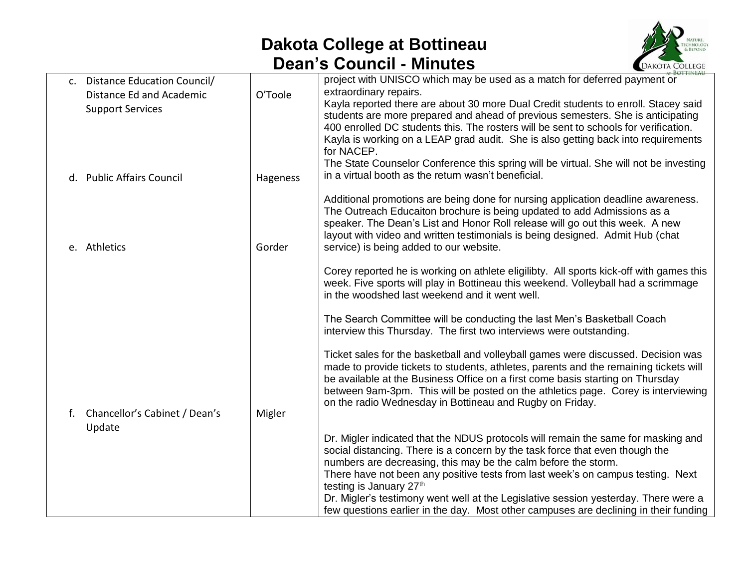## **Dakota College at Bottineau Dean's Council - Minutes**



|    |                                                                                       |          | <b>ROTTINICALL</b>                                                                                                                                                                                                                                                                                                                                                                                                                                                                                                                                              |
|----|---------------------------------------------------------------------------------------|----------|-----------------------------------------------------------------------------------------------------------------------------------------------------------------------------------------------------------------------------------------------------------------------------------------------------------------------------------------------------------------------------------------------------------------------------------------------------------------------------------------------------------------------------------------------------------------|
|    | c. Distance Education Council/<br>Distance Ed and Academic<br><b>Support Services</b> | O'Toole  | project with UNISCO which may be used as a match for deferred payment or<br>extraordinary repairs.<br>Kayla reported there are about 30 more Dual Credit students to enroll. Stacey said<br>students are more prepared and ahead of previous semesters. She is anticipating<br>400 enrolled DC students this. The rosters will be sent to schools for verification.<br>Kayla is working on a LEAP grad audit. She is also getting back into requirements<br>for NACEP.<br>The State Counselor Conference this spring will be virtual. She will not be investing |
|    | d. Public Affairs Council                                                             | Hageness | in a virtual booth as the return wasn't beneficial.                                                                                                                                                                                                                                                                                                                                                                                                                                                                                                             |
|    | e. Athletics                                                                          | Gorder   | Additional promotions are being done for nursing application deadline awareness.<br>The Outreach Educaiton brochure is being updated to add Admissions as a<br>speaker. The Dean's List and Honor Roll release will go out this week. A new<br>layout with video and written testimonials is being designed. Admit Hub (chat<br>service) is being added to our website.                                                                                                                                                                                         |
|    |                                                                                       |          | Corey reported he is working on athlete eligilibty. All sports kick-off with games this<br>week. Five sports will play in Bottineau this weekend. Volleyball had a scrimmage<br>in the woodshed last weekend and it went well.                                                                                                                                                                                                                                                                                                                                  |
| f. | Chancellor's Cabinet / Dean's<br>Update                                               | Migler   | The Search Committee will be conducting the last Men's Basketball Coach<br>interview this Thursday. The first two interviews were outstanding.                                                                                                                                                                                                                                                                                                                                                                                                                  |
|    |                                                                                       |          | Ticket sales for the basketball and volleyball games were discussed. Decision was<br>made to provide tickets to students, athletes, parents and the remaining tickets will<br>be available at the Business Office on a first come basis starting on Thursday<br>between 9am-3pm. This will be posted on the athletics page. Corey is interviewing<br>on the radio Wednesday in Bottineau and Rugby on Friday.                                                                                                                                                   |
|    |                                                                                       |          | Dr. Migler indicated that the NDUS protocols will remain the same for masking and<br>social distancing. There is a concern by the task force that even though the<br>numbers are decreasing, this may be the calm before the storm.<br>There have not been any positive tests from last week's on campus testing. Next<br>testing is January 27th<br>Dr. Migler's testimony went well at the Legislative session yesterday. There were a<br>few questions earlier in the day. Most other campuses are declining in their funding                                |